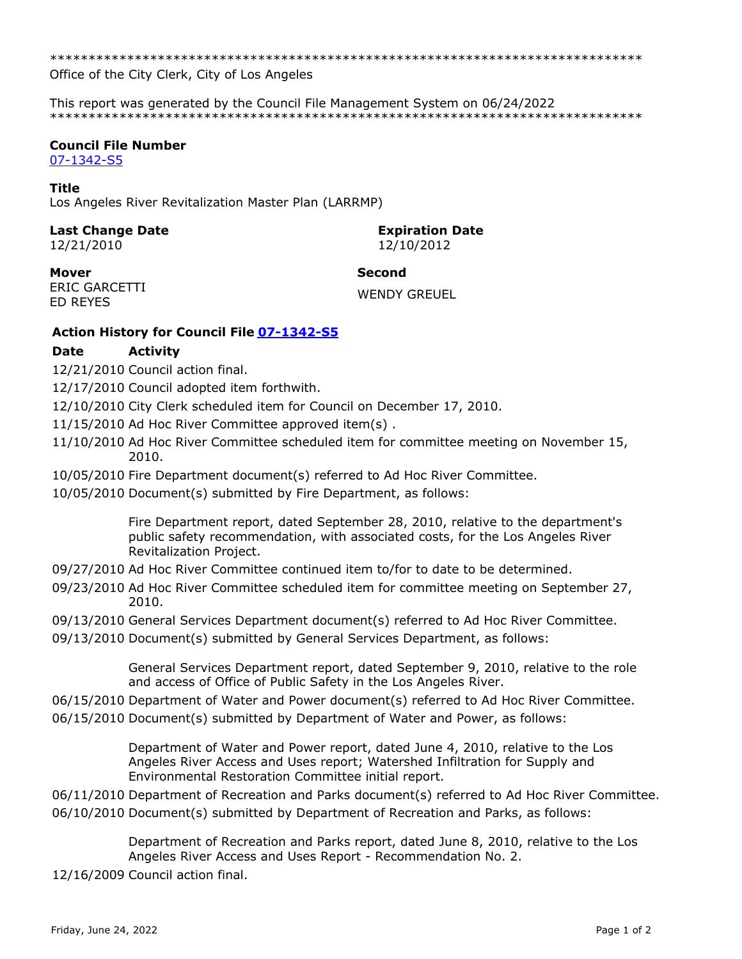\*\*\*\*\*\*\*\*\*\*\*\*\*\*\*\*\*\*\*\*\*\*\*\*\*\*\*\*\*\*\*\*\*\*\*\*\*\*\*\*\*\*\*\*\*\*\*\*\*\*\*\*\*\*\*\*\*\*\*\*\*\*\*\*\*\*\*\*\*\*\*\*\*\*\*\*\*

Office of the City Clerk, City of Los Angeles

This report was generated by the Council File Management System on 06/24/2022 \*\*\*\*\*\*\*\*\*\*\*\*\*\*\*\*\*\*\*\*\*\*\*\*\*\*\*\*\*\*\*\*\*\*\*\*\*\*\*\*\*\*\*\*\*\*\*\*\*\*\*\*\*\*\*\*\*\*\*\*\*\*\*\*\*\*\*\*\*\*\*\*\*\*\*\*\*

## **Council File Number**

[07-1342-S5](https://cityclerk.lacity.org/lacityclerkconnect/index.cfm?fa=ccfi.viewrecord&cfnumber=07-1342-S5)

### **Title**

Los Angeles River Revitalization Master Plan (LARRMP)

# **Last Change Date Expiration Date**

12/21/2010 12/10/2012

**Mover Second** ERIC GARCETTI ENIC GANCETTI<br>ED REYES

# **Action History for Council File [07-1342-S5](https://cityclerk.lacity.org/lacityclerkconnect/index.cfm?fa=ccfi.viewrecord&cfnumber=07-1342-S5)**

## **Date Activity**

- 12/21/2010 Council action final.
- 12/17/2010 Council adopted item forthwith.
- 12/10/2010 City Clerk scheduled item for Council on December 17, 2010.
- 11/15/2010 Ad Hoc River Committee approved item(s) .
- 11/10/2010 Ad Hoc River Committee scheduled item for committee meeting on November 15, 2010.
- 10/05/2010 Fire Department document(s) referred to Ad Hoc River Committee.
- 10/05/2010 Document(s) submitted by Fire Department, as follows:

Fire Department report, dated September 28, 2010, relative to the department's public safety recommendation, with associated costs, for the Los Angeles River Revitalization Project.

- 09/27/2010 Ad Hoc River Committee continued item to/for to date to be determined.
- 09/23/2010 Ad Hoc River Committee scheduled item for committee meeting on September 27, 2010.
- 09/13/2010 General Services Department document(s) referred to Ad Hoc River Committee.
- 09/13/2010 Document(s) submitted by General Services Department, as follows:

General Services Department report, dated September 9, 2010, relative to the role and access of Office of Public Safety in the Los Angeles River.

- 06/15/2010 Department of Water and Power document(s) referred to Ad Hoc River Committee.
- 06/15/2010 Document(s) submitted by Department of Water and Power, as follows:

Department of Water and Power report, dated June 4, 2010, relative to the Los Angeles River Access and Uses report; Watershed Infiltration for Supply and Environmental Restoration Committee initial report.

06/11/2010 Department of Recreation and Parks document(s) referred to Ad Hoc River Committee.

06/10/2010 Document(s) submitted by Department of Recreation and Parks, as follows:

Department of Recreation and Parks report, dated June 8, 2010, relative to the Los Angeles River Access and Uses Report - Recommendation No. 2.

12/16/2009 Council action final.